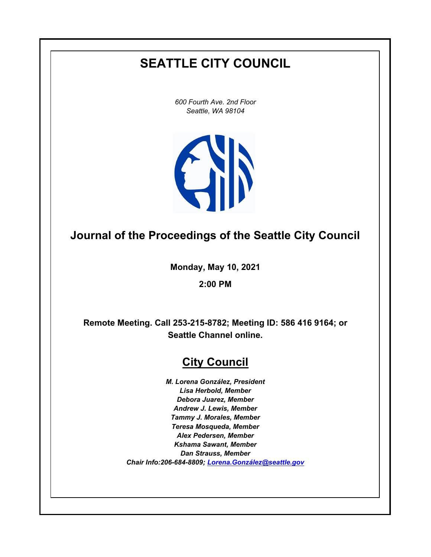# **SEATTLE CITY COUNCIL**

*600 Fourth Ave. 2nd Floor Seattle, WA 98104*



# **Journal of the Proceedings of the Seattle City Council**

**Monday, May 10, 2021**

**2:00 PM**

**Remote Meeting. Call 253-215-8782; Meeting ID: 586 416 9164; or Seattle Channel online.**

# **City Council**

*M. Lorena González, President Lisa Herbold, Member Debora Juarez, Member Andrew J. Lewis, Member Tammy J. Morales, Member Teresa Mosqueda, Member Alex Pedersen, Member Kshama Sawant, Member Dan Strauss, Member Chair Info:206-684-8809; [Lorena.González@seattle.gov](mailto: Lorena.Gonzalez@seattle.gov)*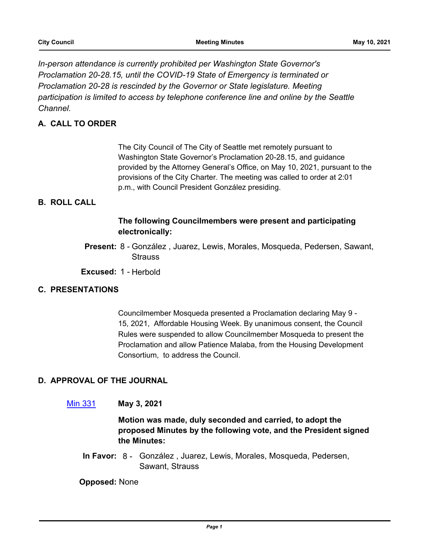*In-person attendance is currently prohibited per Washington State Governor's Proclamation 20-28.15, until the COVID-19 State of Emergency is terminated or Proclamation 20-28 is rescinded by the Governor or State legislature. Meeting participation is limited to access by telephone conference line and online by the Seattle Channel.*

# **A. CALL TO ORDER**

The City Council of The City of Seattle met remotely pursuant to Washington State Governor's Proclamation 20-28.15, and guidance provided by the Attorney General's Office, on May 10, 2021, pursuant to the provisions of the City Charter. The meeting was called to order at 2:01 p.m., with Council President González presiding.

# **B. ROLL CALL**

# **The following Councilmembers were present and participating electronically:**

Present: 8 - González, Juarez, Lewis, Morales, Mosqueda, Pedersen, Sawant, **Strauss** 

**Excused:** 1 - Herbold

## **C. PRESENTATIONS**

Councilmember Mosqueda presented a Proclamation declaring May 9 - 15, 2021, Affordable Housing Week. By unanimous consent, the Council Rules were suspended to allow Councilmember Mosqueda to present the Proclamation and allow Patience Malaba, from the Housing Development Consortium, to address the Council.

# **D. APPROVAL OF THE JOURNAL**

[Min 331](http://seattle.legistar.com/gateway.aspx?m=l&id=/matter.aspx?key=11657) **May 3, 2021**

**Motion was made, duly seconded and carried, to adopt the proposed Minutes by the following vote, and the President signed the Minutes:**

In Favor: 8 - González, Juarez, Lewis, Morales, Mosqueda, Pedersen, Sawant, Strauss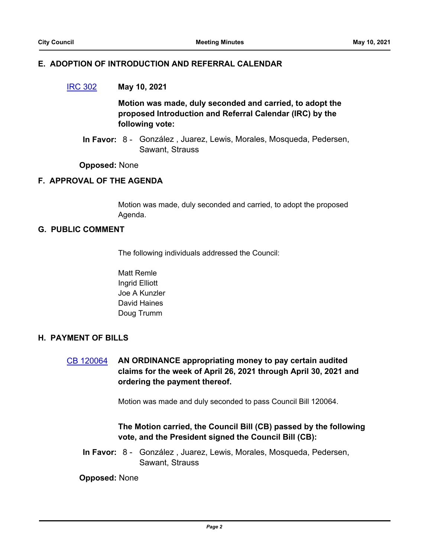#### **E. ADOPTION OF INTRODUCTION AND REFERRAL CALENDAR**

## [IRC 302](http://seattle.legistar.com/gateway.aspx?m=l&id=/matter.aspx?key=11681) **May 10, 2021**

**Motion was made, duly seconded and carried, to adopt the proposed Introduction and Referral Calendar (IRC) by the following vote:**

In Favor: 8 - González, Juarez, Lewis, Morales, Mosqueda, Pedersen, Sawant, Strauss

#### **Opposed:** None

## **F. APPROVAL OF THE AGENDA**

Motion was made, duly seconded and carried, to adopt the proposed Agenda.

## **G. PUBLIC COMMENT**

The following individuals addressed the Council:

Matt Remle Ingrid Elliott Joe A Kunzler David Haines Doug Trumm

## **H. PAYMENT OF BILLS**

[CB 120064](http://seattle.legistar.com/gateway.aspx?m=l&id=/matter.aspx?key=11658) **AN ORDINANCE appropriating money to pay certain audited claims for the week of April 26, 2021 through April 30, 2021 and ordering the payment thereof.**

Motion was made and duly seconded to pass Council Bill 120064.

# **The Motion carried, the Council Bill (CB) passed by the following vote, and the President signed the Council Bill (CB):**

In Favor: 8 - González, Juarez, Lewis, Morales, Mosqueda, Pedersen, Sawant, Strauss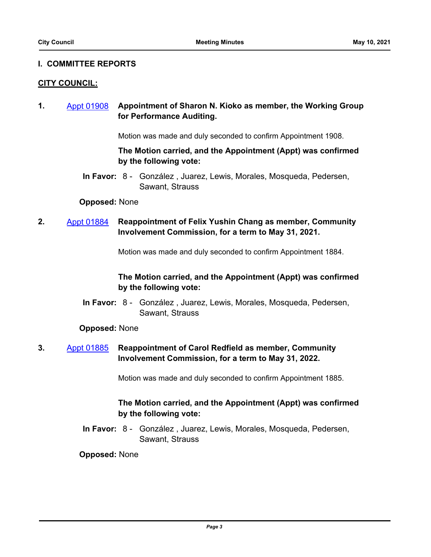#### **I. COMMITTEE REPORTS**

#### **CITY COUNCIL:**

**1.** [Appt 01908](http://seattle.legistar.com/gateway.aspx?m=l&id=/matter.aspx?key=11650) **Appointment of Sharon N. Kioko as member, the Working Group for Performance Auditing.**

Motion was made and duly seconded to confirm Appointment 1908.

# **The Motion carried, and the Appointment (Appt) was confirmed by the following vote:**

In Favor: 8 - González, Juarez, Lewis, Morales, Mosqueda, Pedersen, Sawant, Strauss

#### **Opposed:** None

# **2.** [Appt 01884](http://seattle.legistar.com/gateway.aspx?m=l&id=/matter.aspx?key=11605) **Reappointment of Felix Yushin Chang as member, Community Involvement Commission, for a term to May 31, 2021.**

Motion was made and duly seconded to confirm Appointment 1884.

# **The Motion carried, and the Appointment (Appt) was confirmed by the following vote:**

In Favor: 8 - González, Juarez, Lewis, Morales, Mosqueda, Pedersen, Sawant, Strauss

#### **Opposed:** None

# **3.** [Appt 01885](http://seattle.legistar.com/gateway.aspx?m=l&id=/matter.aspx?key=11606) **Reappointment of Carol Redfield as member, Community Involvement Commission, for a term to May 31, 2022.**

Motion was made and duly seconded to confirm Appointment 1885.

# **The Motion carried, and the Appointment (Appt) was confirmed by the following vote:**

In Favor: 8 - González, Juarez, Lewis, Morales, Mosqueda, Pedersen, Sawant, Strauss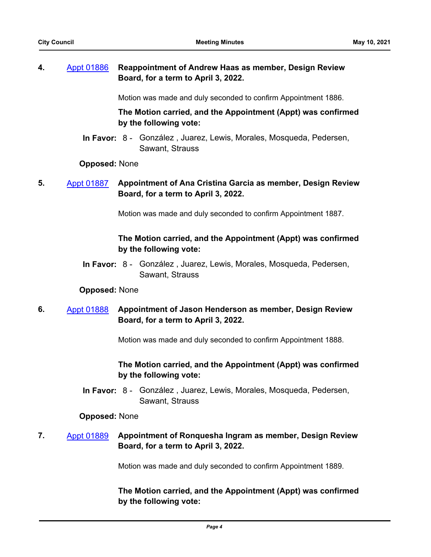# **4.** [Appt 01886](http://seattle.legistar.com/gateway.aspx?m=l&id=/matter.aspx?key=11639) **Reappointment of Andrew Haas as member, Design Review Board, for a term to April 3, 2022.**

Motion was made and duly seconded to confirm Appointment 1886.

**The Motion carried, and the Appointment (Appt) was confirmed by the following vote:**

In Favor: 8 - González, Juarez, Lewis, Morales, Mosqueda, Pedersen, Sawant, Strauss

#### **Opposed:** None

**5.** [Appt 01887](http://seattle.legistar.com/gateway.aspx?m=l&id=/matter.aspx?key=11637) **Appointment of Ana Cristina Garcia as member, Design Review Board, for a term to April 3, 2022.**

Motion was made and duly seconded to confirm Appointment 1887.

# **The Motion carried, and the Appointment (Appt) was confirmed by the following vote:**

In Favor: 8 - González, Juarez, Lewis, Morales, Mosqueda, Pedersen, Sawant, Strauss

#### **Opposed:** None

**6.** [Appt 01888](http://seattle.legistar.com/gateway.aspx?m=l&id=/matter.aspx?key=11640) **Appointment of Jason Henderson as member, Design Review Board, for a term to April 3, 2022.**

Motion was made and duly seconded to confirm Appointment 1888.

# **The Motion carried, and the Appointment (Appt) was confirmed by the following vote:**

In Favor: 8 - González, Juarez, Lewis, Morales, Mosqueda, Pedersen, Sawant, Strauss

#### **Opposed:** None

# **7.** [Appt 01889](http://seattle.legistar.com/gateway.aspx?m=l&id=/matter.aspx?key=11641) **Appointment of Ronquesha Ingram as member, Design Review Board, for a term to April 3, 2022.**

Motion was made and duly seconded to confirm Appointment 1889.

**The Motion carried, and the Appointment (Appt) was confirmed by the following vote:**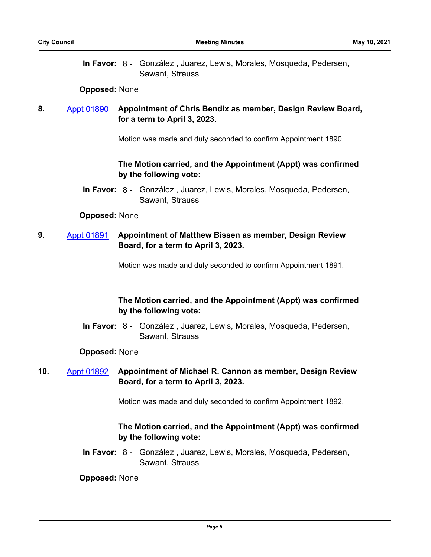In Favor: 8 - González, Juarez, Lewis, Morales, Mosqueda, Pedersen, Sawant, Strauss

#### **Opposed:** None

# **8.** [Appt 01890](http://seattle.legistar.com/gateway.aspx?m=l&id=/matter.aspx?key=11626) **Appointment of Chris Bendix as member, Design Review Board, for a term to April 3, 2023.**

Motion was made and duly seconded to confirm Appointment 1890.

# **The Motion carried, and the Appointment (Appt) was confirmed by the following vote:**

In Favor: 8 - González, Juarez, Lewis, Morales, Mosqueda, Pedersen, Sawant, Strauss

#### **Opposed:** None

# **9.** [Appt 01891](http://seattle.legistar.com/gateway.aspx?m=l&id=/matter.aspx?key=11627) **Appointment of Matthew Bissen as member, Design Review Board, for a term to April 3, 2023.**

Motion was made and duly seconded to confirm Appointment 1891.

# **The Motion carried, and the Appointment (Appt) was confirmed by the following vote:**

In Favor: 8 - González, Juarez, Lewis, Morales, Mosqueda, Pedersen, Sawant, Strauss

## **Opposed:** None

# **10.** [Appt 01892](http://seattle.legistar.com/gateway.aspx?m=l&id=/matter.aspx?key=11629) **Appointment of Michael R. Cannon as member, Design Review Board, for a term to April 3, 2023.**

Motion was made and duly seconded to confirm Appointment 1892.

# **The Motion carried, and the Appointment (Appt) was confirmed by the following vote:**

In Favor: 8 - González, Juarez, Lewis, Morales, Mosqueda, Pedersen, Sawant, Strauss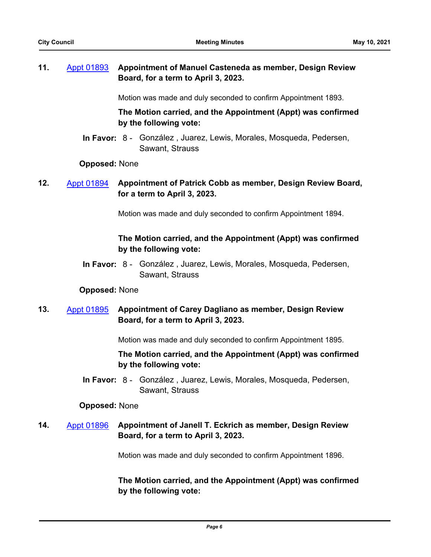# **11.** [Appt 01893](http://seattle.legistar.com/gateway.aspx?m=l&id=/matter.aspx?key=11631) **Appointment of Manuel Casteneda as member, Design Review Board, for a term to April 3, 2023.**

Motion was made and duly seconded to confirm Appointment 1893.

**The Motion carried, and the Appointment (Appt) was confirmed by the following vote:**

In Favor: 8 - González, Juarez, Lewis, Morales, Mosqueda, Pedersen, Sawant, Strauss

#### **Opposed:** None

**12.** [Appt 01894](http://seattle.legistar.com/gateway.aspx?m=l&id=/matter.aspx?key=11632) **Appointment of Patrick Cobb as member, Design Review Board, for a term to April 3, 2023.**

Motion was made and duly seconded to confirm Appointment 1894.

# **The Motion carried, and the Appointment (Appt) was confirmed by the following vote:**

In Favor: 8 - González, Juarez, Lewis, Morales, Mosqueda, Pedersen, Sawant, Strauss

#### **Opposed:** None

# **13.** [Appt 01895](http://seattle.legistar.com/gateway.aspx?m=l&id=/matter.aspx?key=11633) **Appointment of Carey Dagliano as member, Design Review Board, for a term to April 3, 2023.**

Motion was made and duly seconded to confirm Appointment 1895.

# **The Motion carried, and the Appointment (Appt) was confirmed by the following vote:**

In Favor: 8 - González, Juarez, Lewis, Morales, Mosqueda, Pedersen, Sawant, Strauss

#### **Opposed:** None

# **14.** [Appt 01896](http://seattle.legistar.com/gateway.aspx?m=l&id=/matter.aspx?key=11634) **Appointment of Janell T. Eckrich as member, Design Review Board, for a term to April 3, 2023.**

Motion was made and duly seconded to confirm Appointment 1896.

**The Motion carried, and the Appointment (Appt) was confirmed by the following vote:**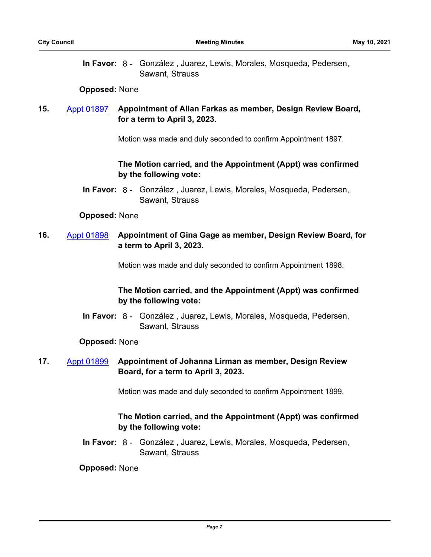In Favor: 8 - González, Juarez, Lewis, Morales, Mosqueda, Pedersen, Sawant, Strauss

#### **Opposed:** None

# **15.** [Appt 01897](http://seattle.legistar.com/gateway.aspx?m=l&id=/matter.aspx?key=11635) **Appointment of Allan Farkas as member, Design Review Board, for a term to April 3, 2023.**

Motion was made and duly seconded to confirm Appointment 1897.

# **The Motion carried, and the Appointment (Appt) was confirmed by the following vote:**

In Favor: 8 - González, Juarez, Lewis, Morales, Mosqueda, Pedersen, Sawant, Strauss

#### **Opposed:** None

# **16.** [Appt 01898](http://seattle.legistar.com/gateway.aspx?m=l&id=/matter.aspx?key=11636) **Appointment of Gina Gage as member, Design Review Board, for a term to April 3, 2023.**

Motion was made and duly seconded to confirm Appointment 1898.

# **The Motion carried, and the Appointment (Appt) was confirmed by the following vote:**

In Favor: 8 - González, Juarez, Lewis, Morales, Mosqueda, Pedersen, Sawant, Strauss

## **Opposed:** None

# **17.** [Appt 01899](http://seattle.legistar.com/gateway.aspx?m=l&id=/matter.aspx?key=11642) **Appointment of Johanna Lirman as member, Design Review Board, for a term to April 3, 2023.**

Motion was made and duly seconded to confirm Appointment 1899.

# **The Motion carried, and the Appointment (Appt) was confirmed by the following vote:**

In Favor: 8 - González, Juarez, Lewis, Morales, Mosqueda, Pedersen, Sawant, Strauss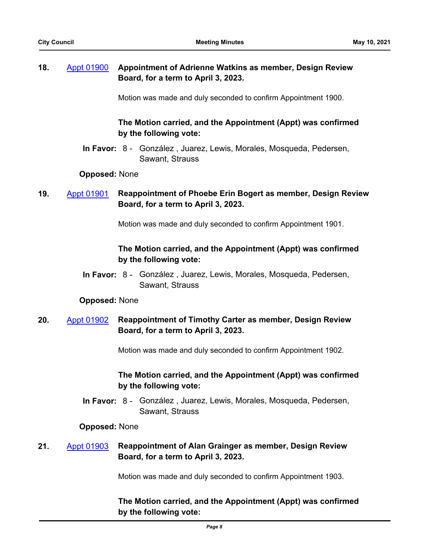# **18.** [Appt 01900](http://seattle.legistar.com/gateway.aspx?m=l&id=/matter.aspx?key=11647) **Appointment of Adrienne Watkins as member, Design Review Board, for a term to April 3, 2023.**

Motion was made and duly seconded to confirm Appointment 1900.

# **The Motion carried, and the Appointment (Appt) was confirmed by the following vote:**

In Favor: 8 - González, Juarez, Lewis, Morales, Mosqueda, Pedersen, Sawant, Strauss

#### **Opposed:** None

# **19.** [Appt 01901](http://seattle.legistar.com/gateway.aspx?m=l&id=/matter.aspx?key=11628) **Reappointment of Phoebe Erin Bogert as member, Design Review Board, for a term to April 3, 2023.**

Motion was made and duly seconded to confirm Appointment 1901.

# **The Motion carried, and the Appointment (Appt) was confirmed by the following vote:**

In Favor: 8 - González, Juarez, Lewis, Morales, Mosqueda, Pedersen, Sawant, Strauss

## **Opposed:** None

# **20.** [Appt 01902](http://seattle.legistar.com/gateway.aspx?m=l&id=/matter.aspx?key=11630) **Reappointment of Timothy Carter as member, Design Review Board, for a term to April 3, 2023.**

Motion was made and duly seconded to confirm Appointment 1902.

# **The Motion carried, and the Appointment (Appt) was confirmed by the following vote:**

In Favor: 8 - González, Juarez, Lewis, Morales, Mosqueda, Pedersen, Sawant, Strauss

## **Opposed:** None

# **21.** [Appt 01903](http://seattle.legistar.com/gateway.aspx?m=l&id=/matter.aspx?key=11638) **Reappointment of Alan Grainger as member, Design Review Board, for a term to April 3, 2023.**

Motion was made and duly seconded to confirm Appointment 1903.

# **The Motion carried, and the Appointment (Appt) was confirmed by the following vote:**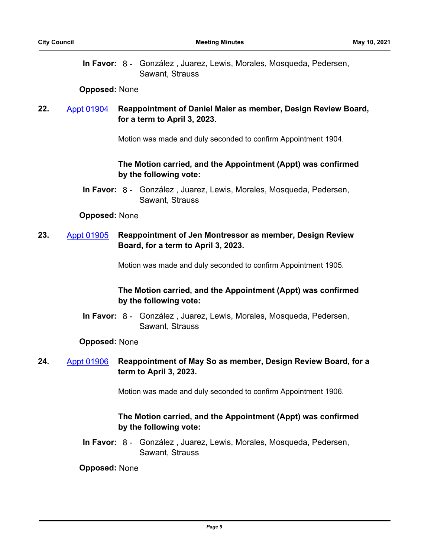In Favor: 8 - González, Juarez, Lewis, Morales, Mosqueda, Pedersen, Sawant, Strauss

#### **Opposed:** None

# **22.** [Appt 01904](http://seattle.legistar.com/gateway.aspx?m=l&id=/matter.aspx?key=11643) **Reappointment of Daniel Maier as member, Design Review Board, for a term to April 3, 2023.**

Motion was made and duly seconded to confirm Appointment 1904.

# **The Motion carried, and the Appointment (Appt) was confirmed by the following vote:**

In Favor: 8 - González, Juarez, Lewis, Morales, Mosqueda, Pedersen, Sawant, Strauss

## **Opposed:** None

# **23.** [Appt 01905](http://seattle.legistar.com/gateway.aspx?m=l&id=/matter.aspx?key=11644) **Reappointment of Jen Montressor as member, Design Review Board, for a term to April 3, 2023.**

Motion was made and duly seconded to confirm Appointment 1905.

# **The Motion carried, and the Appointment (Appt) was confirmed by the following vote:**

In Favor: 8 - González, Juarez, Lewis, Morales, Mosqueda, Pedersen, Sawant, Strauss

## **Opposed:** None

# **24.** [Appt 01906](http://seattle.legistar.com/gateway.aspx?m=l&id=/matter.aspx?key=11646) **Reappointment of May So as member, Design Review Board, for a term to April 3, 2023.**

Motion was made and duly seconded to confirm Appointment 1906.

# **The Motion carried, and the Appointment (Appt) was confirmed by the following vote:**

In Favor: 8 - González, Juarez, Lewis, Morales, Mosqueda, Pedersen, Sawant, Strauss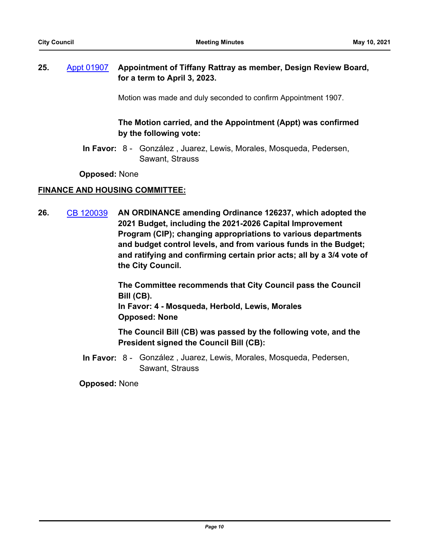# **25.** [Appt 01907](http://seattle.legistar.com/gateway.aspx?m=l&id=/matter.aspx?key=11645) **Appointment of Tiffany Rattray as member, Design Review Board, for a term to April 3, 2023.**

Motion was made and duly seconded to confirm Appointment 1907.

# **The Motion carried, and the Appointment (Appt) was confirmed by the following vote:**

In Favor: 8 - González, Juarez, Lewis, Morales, Mosqueda, Pedersen, Sawant, Strauss

**Opposed:** None

# **FINANCE AND HOUSING COMMITTEE:**

**26.** [CB 120039](http://seattle.legistar.com/gateway.aspx?m=l&id=/matter.aspx?key=11526) **AN ORDINANCE amending Ordinance 126237, which adopted the 2021 Budget, including the 2021-2026 Capital Improvement Program (CIP); changing appropriations to various departments and budget control levels, and from various funds in the Budget; and ratifying and confirming certain prior acts; all by a 3/4 vote of the City Council.**

> **The Committee recommends that City Council pass the Council Bill (CB). In Favor: 4 - Mosqueda, Herbold, Lewis, Morales**

**Opposed: None**

**The Council Bill (CB) was passed by the following vote, and the President signed the Council Bill (CB):**

In Favor: 8 - González, Juarez, Lewis, Morales, Mosqueda, Pedersen, Sawant, Strauss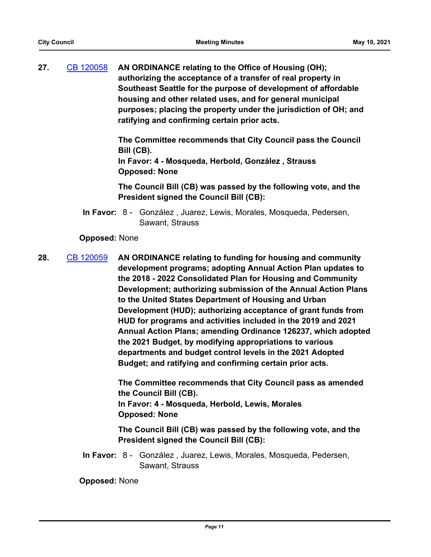**27.** [CB 120058](http://seattle.legistar.com/gateway.aspx?m=l&id=/matter.aspx?key=11596) **AN ORDINANCE relating to the Office of Housing (OH); authorizing the acceptance of a transfer of real property in Southeast Seattle for the purpose of development of affordable housing and other related uses, and for general municipal purposes; placing the property under the jurisdiction of OH; and ratifying and confirming certain prior acts.**

> **The Committee recommends that City Council pass the Council Bill (CB).**

**In Favor: 4 - Mosqueda, Herbold, González , Strauss Opposed: None**

**The Council Bill (CB) was passed by the following vote, and the President signed the Council Bill (CB):**

In Favor: 8 - González, Juarez, Lewis, Morales, Mosqueda, Pedersen, Sawant, Strauss

## **Opposed:** None

**28.** [CB 120059](http://seattle.legistar.com/gateway.aspx?m=l&id=/matter.aspx?key=11591) **AN ORDINANCE relating to funding for housing and community development programs; adopting Annual Action Plan updates to the 2018 - 2022 Consolidated Plan for Housing and Community Development; authorizing submission of the Annual Action Plans to the United States Department of Housing and Urban Development (HUD); authorizing acceptance of grant funds from HUD for programs and activities included in the 2019 and 2021 Annual Action Plans; amending Ordinance 126237, which adopted the 2021 Budget, by modifying appropriations to various departments and budget control levels in the 2021 Adopted Budget; and ratifying and confirming certain prior acts.**

> **The Committee recommends that City Council pass as amended the Council Bill (CB). In Favor: 4 - Mosqueda, Herbold, Lewis, Morales Opposed: None**

> **The Council Bill (CB) was passed by the following vote, and the President signed the Council Bill (CB):**

In Favor: 8 - González, Juarez, Lewis, Morales, Mosqueda, Pedersen, Sawant, Strauss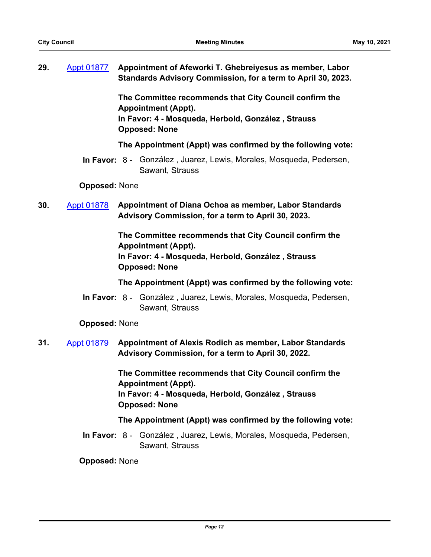**29.** [Appt 01877](http://seattle.legistar.com/gateway.aspx?m=l&id=/matter.aspx?key=11599) **Appointment of Afeworki T. Ghebreiyesus as member, Labor Standards Advisory Commission, for a term to April 30, 2023.**

> **The Committee recommends that City Council confirm the Appointment (Appt). In Favor: 4 - Mosqueda, Herbold, González , Strauss Opposed: None**

**The Appointment (Appt) was confirmed by the following vote:**

In Favor: 8 - González, Juarez, Lewis, Morales, Mosqueda, Pedersen, Sawant, Strauss

**Opposed:** None

**30.** [Appt 01878](http://seattle.legistar.com/gateway.aspx?m=l&id=/matter.aspx?key=11600) **Appointment of Diana Ochoa as member, Labor Standards Advisory Commission, for a term to April 30, 2023.**

> **The Committee recommends that City Council confirm the Appointment (Appt). In Favor: 4 - Mosqueda, Herbold, González , Strauss Opposed: None**

**The Appointment (Appt) was confirmed by the following vote:**

In Favor: 8 - González, Juarez, Lewis, Morales, Mosqueda, Pedersen, Sawant, Strauss

**Opposed:** None

**31.** [Appt 01879](http://seattle.legistar.com/gateway.aspx?m=l&id=/matter.aspx?key=11601) **Appointment of Alexis Rodich as member, Labor Standards Advisory Commission, for a term to April 30, 2022.**

> **The Committee recommends that City Council confirm the Appointment (Appt). In Favor: 4 - Mosqueda, Herbold, González , Strauss Opposed: None**

## **The Appointment (Appt) was confirmed by the following vote:**

In Favor: 8 - González, Juarez, Lewis, Morales, Mosqueda, Pedersen, Sawant, Strauss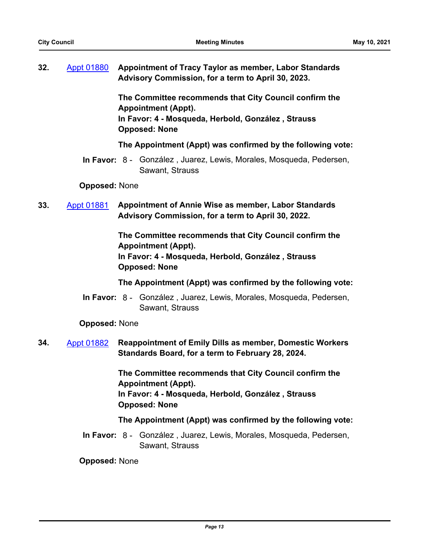**32.** [Appt 01880](http://seattle.legistar.com/gateway.aspx?m=l&id=/matter.aspx?key=11602) **Appointment of Tracy Taylor as member, Labor Standards Advisory Commission, for a term to April 30, 2023.**

> **The Committee recommends that City Council confirm the Appointment (Appt). In Favor: 4 - Mosqueda, Herbold, González , Strauss Opposed: None**

**The Appointment (Appt) was confirmed by the following vote:**

In Favor: 8 - González, Juarez, Lewis, Morales, Mosqueda, Pedersen, Sawant, Strauss

**Opposed:** None

**33.** [Appt 01881](http://seattle.legistar.com/gateway.aspx?m=l&id=/matter.aspx?key=11603) **Appointment of Annie Wise as member, Labor Standards Advisory Commission, for a term to April 30, 2022.**

> **The Committee recommends that City Council confirm the Appointment (Appt). In Favor: 4 - Mosqueda, Herbold, González , Strauss Opposed: None**

**The Appointment (Appt) was confirmed by the following vote:**

In Favor: 8 - González, Juarez, Lewis, Morales, Mosqueda, Pedersen, Sawant, Strauss

**Opposed:** None

**34.** [Appt 01882](http://seattle.legistar.com/gateway.aspx?m=l&id=/matter.aspx?key=11624) **Reappointment of Emily Dills as member, Domestic Workers Standards Board, for a term to February 28, 2024.**

> **The Committee recommends that City Council confirm the Appointment (Appt). In Favor: 4 - Mosqueda, Herbold, González , Strauss Opposed: None**

## **The Appointment (Appt) was confirmed by the following vote:**

In Favor: 8 - González, Juarez, Lewis, Morales, Mosqueda, Pedersen, Sawant, Strauss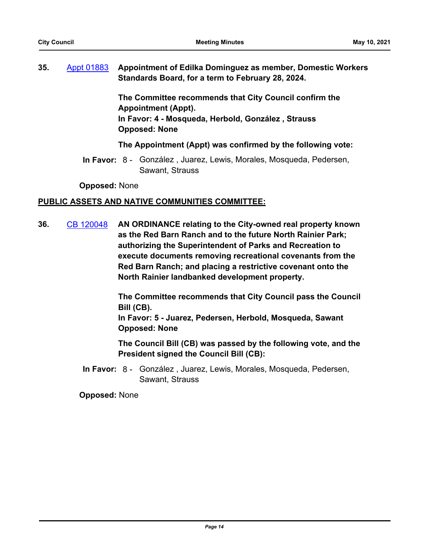# **35.** [Appt 01883](http://seattle.legistar.com/gateway.aspx?m=l&id=/matter.aspx?key=11625) **Appointment of Edilka Dominguez as member, Domestic Workers Standards Board, for a term to February 28, 2024.**

**The Committee recommends that City Council confirm the Appointment (Appt). In Favor: 4 - Mosqueda, Herbold, González , Strauss Opposed: None**

## **The Appointment (Appt) was confirmed by the following vote:**

In Favor: 8 - González, Juarez, Lewis, Morales, Mosqueda, Pedersen, Sawant, Strauss

**Opposed:** None

## **PUBLIC ASSETS AND NATIVE COMMUNITIES COMMITTEE:**

**36.** [CB 120048](http://seattle.legistar.com/gateway.aspx?m=l&id=/matter.aspx?key=11578) **AN ORDINANCE relating to the City-owned real property known as the Red Barn Ranch and to the future North Rainier Park; authorizing the Superintendent of Parks and Recreation to execute documents removing recreational covenants from the Red Barn Ranch; and placing a restrictive covenant onto the North Rainier landbanked development property.**

> **The Committee recommends that City Council pass the Council Bill (CB).**

**In Favor: 5 - Juarez, Pedersen, Herbold, Mosqueda, Sawant Opposed: None**

**The Council Bill (CB) was passed by the following vote, and the President signed the Council Bill (CB):**

In Favor: 8 - González, Juarez, Lewis, Morales, Mosqueda, Pedersen, Sawant, Strauss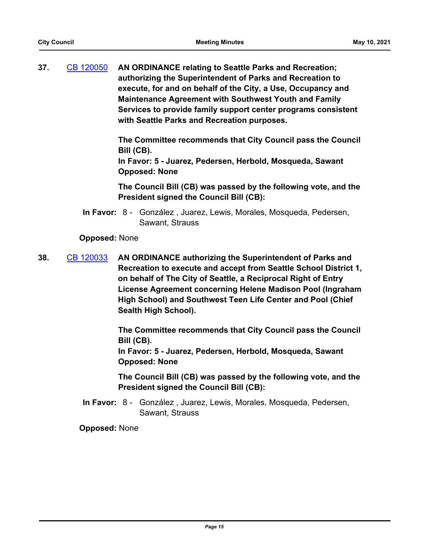**37.** [CB 120050](http://seattle.legistar.com/gateway.aspx?m=l&id=/matter.aspx?key=10805) **AN ORDINANCE relating to Seattle Parks and Recreation; authorizing the Superintendent of Parks and Recreation to execute, for and on behalf of the City, a Use, Occupancy and Maintenance Agreement with Southwest Youth and Family Services to provide family support center programs consistent with Seattle Parks and Recreation purposes.**

> **The Committee recommends that City Council pass the Council Bill (CB).**

**In Favor: 5 - Juarez, Pedersen, Herbold, Mosqueda, Sawant Opposed: None**

**The Council Bill (CB) was passed by the following vote, and the President signed the Council Bill (CB):**

In Favor: 8 - González, Juarez, Lewis, Morales, Mosqueda, Pedersen, Sawant, Strauss

**Opposed:** None

**38.** [CB 120033](http://seattle.legistar.com/gateway.aspx?m=l&id=/matter.aspx?key=11316) **AN ORDINANCE authorizing the Superintendent of Parks and Recreation to execute and accept from Seattle School District 1, on behalf of The City of Seattle, a Reciprocal Right of Entry License Agreement concerning Helene Madison Pool (Ingraham High School) and Southwest Teen Life Center and Pool (Chief Sealth High School).**

> **The Committee recommends that City Council pass the Council Bill (CB).**

**In Favor: 5 - Juarez, Pedersen, Herbold, Mosqueda, Sawant Opposed: None**

**The Council Bill (CB) was passed by the following vote, and the President signed the Council Bill (CB):**

In Favor: 8 - González, Juarez, Lewis, Morales, Mosqueda, Pedersen, Sawant, Strauss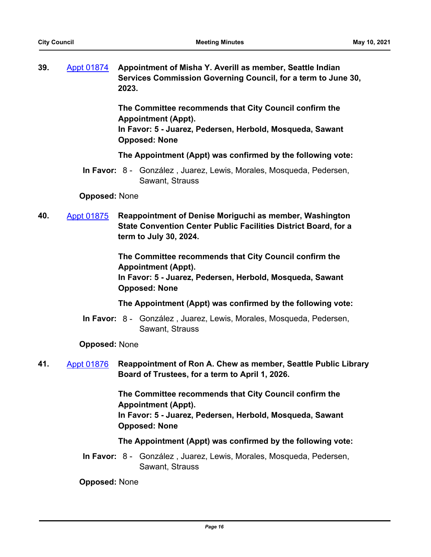| 39. | Appt 01874 Appointment of Misha Y. Averill as member, Seattle Indian |
|-----|----------------------------------------------------------------------|
|     | Services Commission Governing Council, for a term to June 30,        |
|     | 2023.                                                                |

**The Committee recommends that City Council confirm the Appointment (Appt).**

**In Favor: 5 - Juarez, Pedersen, Herbold, Mosqueda, Sawant Opposed: None**

**The Appointment (Appt) was confirmed by the following vote:**

In Favor: 8 - González, Juarez, Lewis, Morales, Mosqueda, Pedersen, Sawant, Strauss

**Opposed:** None

**40.** [Appt 01875](http://seattle.legistar.com/gateway.aspx?m=l&id=/matter.aspx?key=11313) **Reappointment of Denise Moriguchi as member, Washington State Convention Center Public Facilities District Board, for a term to July 30, 2024.**

> **The Committee recommends that City Council confirm the Appointment (Appt). In Favor: 5 - Juarez, Pedersen, Herbold, Mosqueda, Sawant Opposed: None**

**The Appointment (Appt) was confirmed by the following vote:**

In Favor: 8 - González, Juarez, Lewis, Morales, Mosqueda, Pedersen, Sawant, Strauss

## **Opposed:** None

**41.** [Appt 01876](http://seattle.legistar.com/gateway.aspx?m=l&id=/matter.aspx?key=11558) **Reappointment of Ron A. Chew as member, Seattle Public Library Board of Trustees, for a term to April 1, 2026.**

> **The Committee recommends that City Council confirm the Appointment (Appt). In Favor: 5 - Juarez, Pedersen, Herbold, Mosqueda, Sawant Opposed: None**

## **The Appointment (Appt) was confirmed by the following vote:**

In Favor: 8 - González, Juarez, Lewis, Morales, Mosqueda, Pedersen, Sawant, Strauss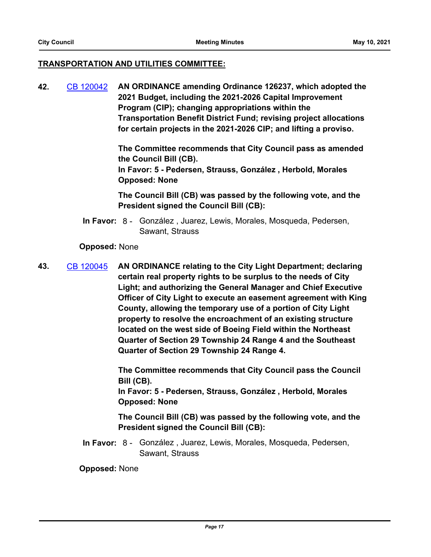## **TRANSPORTATION AND UTILITIES COMMITTEE:**

**42.** [CB 120042](http://seattle.legistar.com/gateway.aspx?m=l&id=/matter.aspx?key=11550) **AN ORDINANCE amending Ordinance 126237, which adopted the 2021 Budget, including the 2021-2026 Capital Improvement Program (CIP); changing appropriations within the Transportation Benefit District Fund; revising project allocations for certain projects in the 2021-2026 CIP; and lifting a proviso.**

> **The Committee recommends that City Council pass as amended the Council Bill (CB). In Favor: 5 - Pedersen, Strauss, González , Herbold, Morales Opposed: None**

**The Council Bill (CB) was passed by the following vote, and the President signed the Council Bill (CB):**

In Favor: 8 - González, Juarez, Lewis, Morales, Mosqueda, Pedersen, Sawant, Strauss

## **Opposed:** None

**43.** [CB 120045](http://seattle.legistar.com/gateway.aspx?m=l&id=/matter.aspx?key=11564) **AN ORDINANCE relating to the City Light Department; declaring certain real property rights to be surplus to the needs of City Light; and authorizing the General Manager and Chief Executive Officer of City Light to execute an easement agreement with King County, allowing the temporary use of a portion of City Light property to resolve the encroachment of an existing structure located on the west side of Boeing Field within the Northeast Quarter of Section 29 Township 24 Range 4 and the Southeast Quarter of Section 29 Township 24 Range 4.**

> **The Committee recommends that City Council pass the Council Bill (CB).**

**In Favor: 5 - Pedersen, Strauss, González , Herbold, Morales Opposed: None**

**The Council Bill (CB) was passed by the following vote, and the President signed the Council Bill (CB):**

In Favor: 8 - González, Juarez, Lewis, Morales, Mosqueda, Pedersen, Sawant, Strauss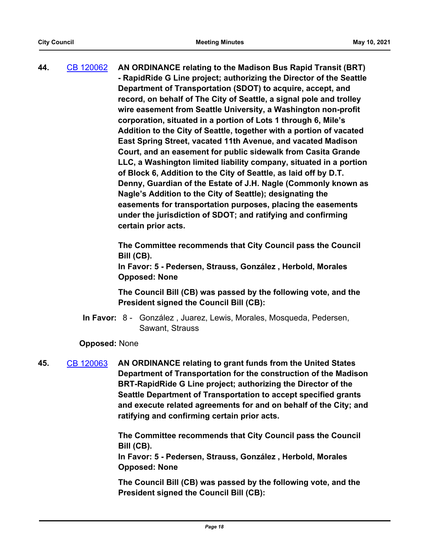**44.** [CB 120062](http://seattle.legistar.com/gateway.aspx?m=l&id=/matter.aspx?key=11531) **AN ORDINANCE relating to the Madison Bus Rapid Transit (BRT) - RapidRide G Line project; authorizing the Director of the Seattle Department of Transportation (SDOT) to acquire, accept, and record, on behalf of The City of Seattle, a signal pole and trolley wire easement from Seattle University, a Washington non-profit corporation, situated in a portion of Lots 1 through 6, Mile's Addition to the City of Seattle, together with a portion of vacated East Spring Street, vacated 11th Avenue, and vacated Madison Court, and an easement for public sidewalk from Casita Grande LLC, a Washington limited liability company, situated in a portion of Block 6, Addition to the City of Seattle, as laid off by D.T. Denny, Guardian of the Estate of J.H. Nagle (Commonly known as Nagle's Addition to the City of Seattle); designating the easements for transportation purposes, placing the easements under the jurisdiction of SDOT; and ratifying and confirming certain prior acts.**

> **The Committee recommends that City Council pass the Council Bill (CB).**

**In Favor: 5 - Pedersen, Strauss, González , Herbold, Morales Opposed: None**

**The Council Bill (CB) was passed by the following vote, and the President signed the Council Bill (CB):**

In Favor: 8 - González, Juarez, Lewis, Morales, Mosqueda, Pedersen, Sawant, Strauss

## **Opposed:** None

**45.** [CB 120063](http://seattle.legistar.com/gateway.aspx?m=l&id=/matter.aspx?key=11576) **AN ORDINANCE relating to grant funds from the United States Department of Transportation for the construction of the Madison BRT-RapidRide G Line project; authorizing the Director of the Seattle Department of Transportation to accept specified grants and execute related agreements for and on behalf of the City; and ratifying and confirming certain prior acts.**

> **The Committee recommends that City Council pass the Council Bill (CB).**

**In Favor: 5 - Pedersen, Strauss, González , Herbold, Morales Opposed: None**

**The Council Bill (CB) was passed by the following vote, and the President signed the Council Bill (CB):**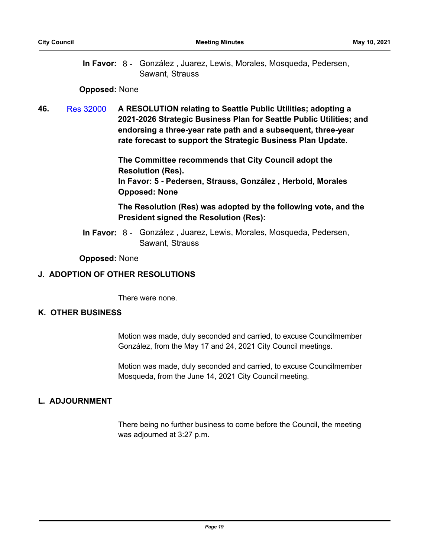In Favor: 8 - González, Juarez, Lewis, Morales, Mosqueda, Pedersen, Sawant, Strauss

#### **Opposed:** None

**46.** [Res 32000](http://seattle.legistar.com/gateway.aspx?m=l&id=/matter.aspx?key=11471) **A RESOLUTION relating to Seattle Public Utilities; adopting a 2021-2026 Strategic Business Plan for Seattle Public Utilities; and endorsing a three-year rate path and a subsequent, three-year rate forecast to support the Strategic Business Plan Update.**

> **The Committee recommends that City Council adopt the Resolution (Res). In Favor: 5 - Pedersen, Strauss, González , Herbold, Morales Opposed: None**

**The Resolution (Res) was adopted by the following vote, and the President signed the Resolution (Res):**

In Favor: 8 - González, Juarez, Lewis, Morales, Mosqueda, Pedersen, Sawant, Strauss

#### **Opposed:** None

#### **J. ADOPTION OF OTHER RESOLUTIONS**

There were none.

## **K. OTHER BUSINESS**

Motion was made, duly seconded and carried, to excuse Councilmember González, from the May 17 and 24, 2021 City Council meetings.

Motion was made, duly seconded and carried, to excuse Councilmember Mosqueda, from the June 14, 2021 City Council meeting.

## **L. ADJOURNMENT**

There being no further business to come before the Council, the meeting was adjourned at 3:27 p.m.